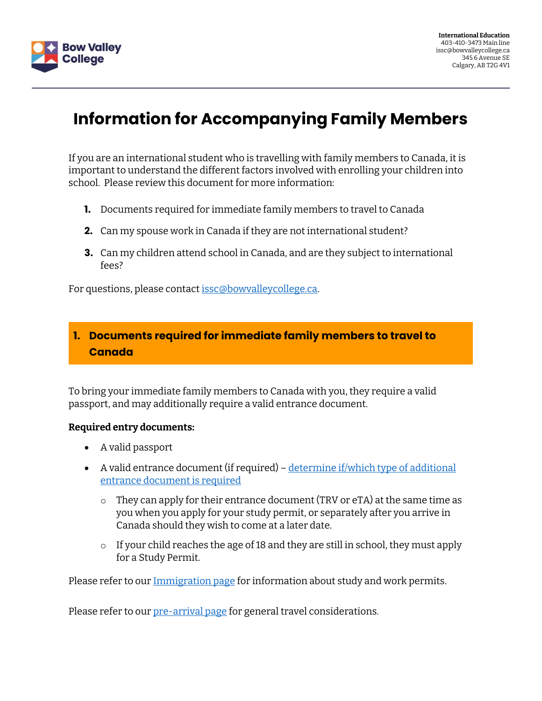

# **Information for Accompanying Family Members**

If you are an international student who is travelling with family members to Canada, it is important to understand the different factors involved with enrolling your children into school. Please review this document for more information:

- **1.** Documents required for immediate family members to travel to Canada
- **2.** Can my spouse work in Canada if they are not international student?
- **3.** Can my children attend school in Canada, and are they subject to international fees?

For questions, please contact [issc@bowvalleycollege.ca.](mailto:issc@bowvalleycollege.ca)

### **1. Documents required for immediate family members to travel to Canada**

To bring your immediate family members to Canada with you, they require a valid passport, and may additionally require a valid entrance document.

#### **Required entry documents:**

- A valid passport
- A valid entrance document (if required) determine if/which type of additional [entrance document is required](http://www.cic.gc.ca/english/visit/visas.asp)
	- o They can apply for their entrance document (TRV or eTA) at the same time as you when you apply for your study permit, or separately after you arrive in Canada should they wish to come at a later date.
	- o If your child reaches the age of 18 and they are still in school, they must apply for a Study Permit.

Please refer to our [Immigration page](https://bowvalleycollege.ca/schools/international-education/immigration-information) for information about study and work permits.

Please refer to our [pre-arrival page](https://bowvalleycollege.ca/schools/international-education/prospective-international-learners/pre-arrival-resources) for general travel considerations.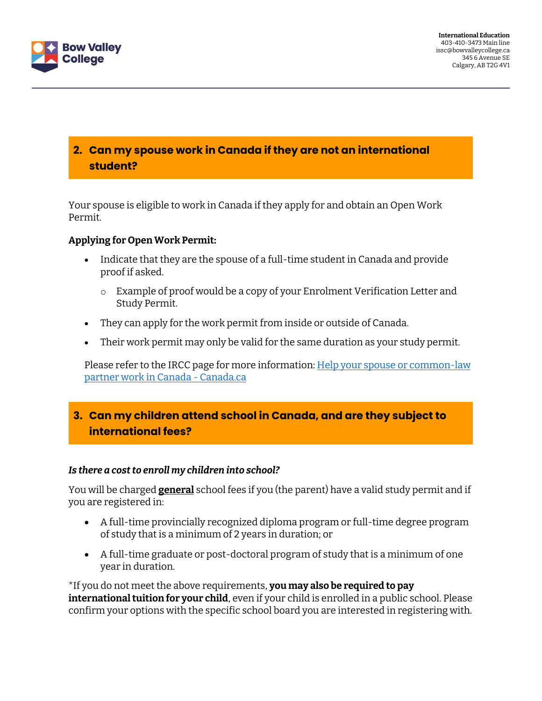

# **2. Can my spouse work in Canada if they are not an international student?**

Your spouse is eligible to work in Canada if they apply for and obtain an Open Work Permit.

#### **Applying for Open Work Permit:**

- Indicate that they are the spouse of a full-time student in Canada and provide proof if asked.
	- o Example of proof would be a copy of your Enrolment Verification Letter and Study Permit.
- They can apply for the work permit from inside or outside of Canada.
- Their work permit may only be valid for the same duration as your study permit.

Please refer to the IRCC page for more information: Help your spouse or common-law [partner work in Canada -](https://www.canada.ca/en/immigration-refugees-citizenship/services/study-canada/work/help-your-spouse-common-law-partner-work-canada.html) Canada.ca

## **3. Can my children attend school in Canada, and are they subject to international fees?**

#### *Is there a cost to enroll my children into school?*

You will be charged **general** school fees if you (the parent) have a valid study permit and if you are registered in:

- A full-time provincially recognized diploma program or full-time degree program of study that is a minimum of 2 years in duration; or
- A full-time graduate or post-doctoral program of study that is a minimum of one year in duration.

\*If you do not meet the above requirements, **you may also be required to pay international tuition for your child**, even if your child is enrolled in a public school. Please confirm your options with the specific school board you are interested in registering with.